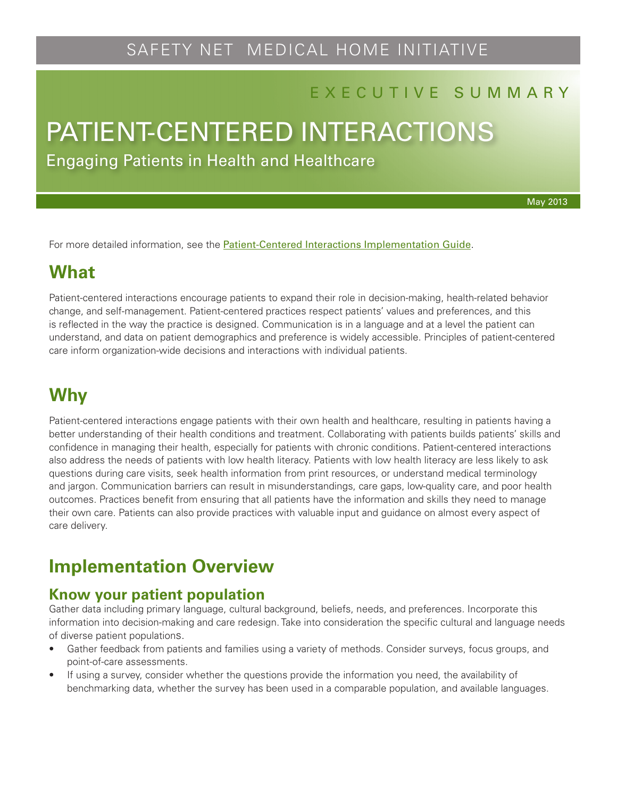# SAFETY NET MEDICAL HOME INITIATIVE

#### E X E C U T I V E S U M M A R Y

# PATIENT-CENTERED INTERACTIONS

Engaging Patients in Health and Healthcare

May 2013

For more detailed information, see the [Patient-Centered Interactions Implementation Guide](http://www.safetynetmedicalhome.org/sites/default/files/Implementation-Guide-Patient-Centered-Interactions.pdf).

### **What**

Patient-centered interactions encourage patients to expand their role in decision-making, health-related behavior change, and self-management. Patient-centered practices respect patients' values and preferences, and this is reflected in the way the practice is designed. Communication is in a language and at a level the patient can understand, and data on patient demographics and preference is widely accessible. Principles of patient-centered care inform organization-wide decisions and interactions with individual patients.

### **Why**

Patient-centered interactions engage patients with their own health and healthcare, resulting in patients having a better understanding of their health conditions and treatment. Collaborating with patients builds patients' skills and confidence in managing their health, especially for patients with chronic conditions. Patient-centered interactions also address the needs of patients with low health literacy. Patients with low health literacy are less likely to ask questions during care visits, seek health information from print resources, or understand medical terminology and jargon. Communication barriers can result in misunderstandings, care gaps, low-quality care, and poor health outcomes. Practices benefit from ensuring that all patients have the information and skills they need to manage their own care. Patients can also provide practices with valuable input and guidance on almost every aspect of care delivery.

### **Implementation Overview**

#### **Know your patient population**

Gather data including primary language, cultural background, beliefs, needs, and preferences. Incorporate this information into decision-making and care redesign. Take into consideration the specific cultural and language needs of diverse patient populations.

- Gather feedback from patients and families using a variety of methods. Consider surveys, focus groups, and point-of-care assessments.
- If using a survey, consider whether the questions provide the information you need, the availability of benchmarking data, whether the survey has been used in a comparable population, and available languages.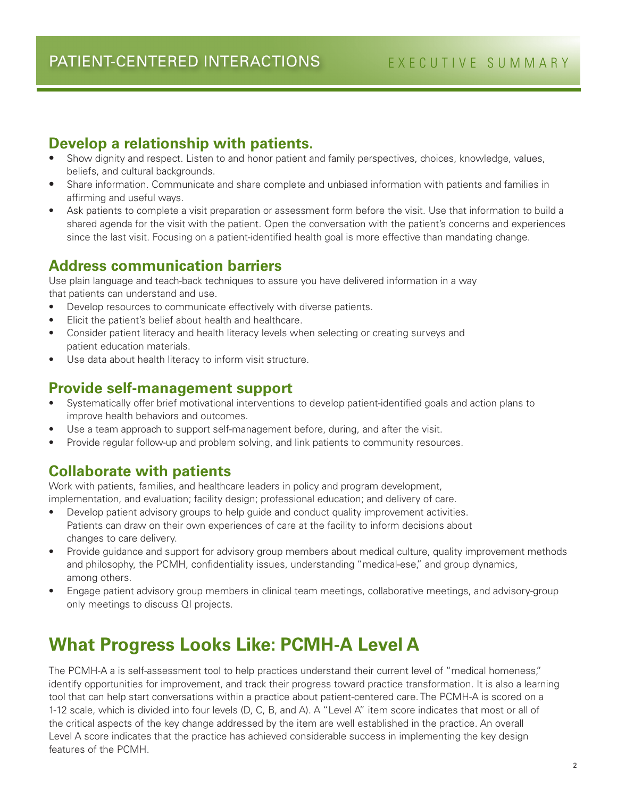#### **Develop a relationship with patients.**

- Show dignity and respect. Listen to and honor patient and family perspectives, choices, knowledge, values, beliefs, and cultural backgrounds.
- Share information. Communicate and share complete and unbiased information with patients and families in affirming and useful ways.
- Ask patients to complete a visit preparation or assessment form before the visit. Use that information to build a shared agenda for the visit with the patient. Open the conversation with the patient's concerns and experiences since the last visit. Focusing on a patient-identified health goal is more effective than mandating change.

#### **Address communication barriers**

Use plain language and teach-back techniques to assure you have delivered information in a way that patients can understand and use.

- Develop resources to communicate effectively with diverse patients.
- Elicit the patient's belief about health and healthcare.
- Consider patient literacy and health literacy levels when selecting or creating surveys and patient education materials.
- Use data about health literacy to inform visit structure.

#### **Provide self-management support**

- Systematically offer brief motivational interventions to develop patient-identified goals and action plans to improve health behaviors and outcomes.
- Use a team approach to support self-management before, during, and after the visit.
- Provide regular follow-up and problem solving, and link patients to community resources.

#### **Collaborate with patients**

Work with patients, families, and healthcare leaders in policy and program development, implementation, and evaluation; facility design; professional education; and delivery of care.

- Develop patient advisory groups to help guide and conduct quality improvement activities. Patients can draw on their own experiences of care at the facility to inform decisions about changes to care delivery.
- Provide guidance and support for advisory group members about medical culture, quality improvement methods and philosophy, the PCMH, confidentiality issues, understanding "medical-ese," and group dynamics, among others.
- Engage patient advisory group members in clinical team meetings, collaborative meetings, and advisory-group only meetings to discuss QI projects.

# **What Progress Looks Like: PCMH-A Level A**

The PCMH-A a is self-assessment tool to help practices understand their current level of "medical homeness," identify opportunities for improvement, and track their progress toward practice transformation. It is also a learning tool that can help start conversations within a practice about patient-centered care. The PCMH-A is scored on a 1-12 scale, which is divided into four levels (D, C, B, and A). A "Level A" item score indicates that most or all of the critical aspects of the key change addressed by the item are well established in the practice. An overall Level A score indicates that the practice has achieved considerable success in implementing the key design features of the PCMH.